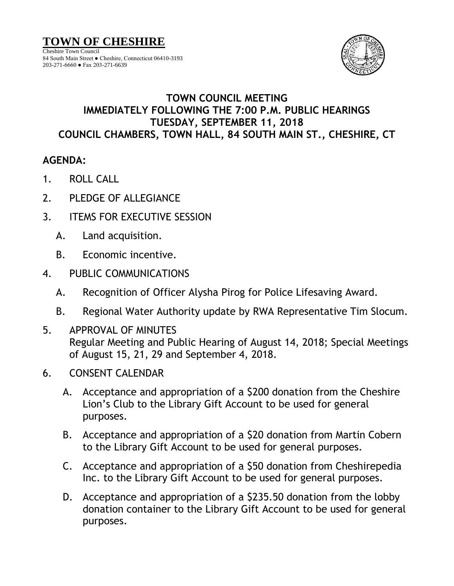84 South Main Street ● Cheshire, Connecticut 06410-3193 203-271-6660 ● Fax 203-271-6639



## **TOWN COUNCIL MEETING IMMEDIATELY FOLLOWING THE 7:00 P.M. PUBLIC HEARINGS TUESDAY, SEPTEMBER 11, 2018 COUNCIL CHAMBERS, TOWN HALL, 84 SOUTH MAIN ST., CHESHIRE, CT**

## **AGENDA:**

- 1. ROLL CALL
- 2. PLEDGE OF ALLEGIANCE
- 3. ITEMS FOR EXECUTIVE SESSION
	- A. Land acquisition.
	- B. Economic incentive.
- 4. PUBLIC COMMUNICATIONS
	- A. Recognition of Officer Alysha Pirog for Police Lifesaving Award.
	- B. Regional Water Authority update by RWA Representative Tim Slocum.
- 5. APPROVAL OF MINUTES Regular Meeting and Public Hearing of August 14, 2018; Special Meetings of August 15, 21, 29 and September 4, 2018.
- 6. CONSENT CALENDAR
	- A. Acceptance and appropriation of a \$200 donation from the Cheshire Lion's Club to the Library Gift Account to be used for general purposes.
	- B. Acceptance and appropriation of a \$20 donation from Martin Cobern to the Library Gift Account to be used for general purposes.
	- C. Acceptance and appropriation of a \$50 donation from Cheshirepedia Inc. to the Library Gift Account to be used for general purposes.
	- D. Acceptance and appropriation of a \$235.50 donation from the lobby donation container to the Library Gift Account to be used for general purposes.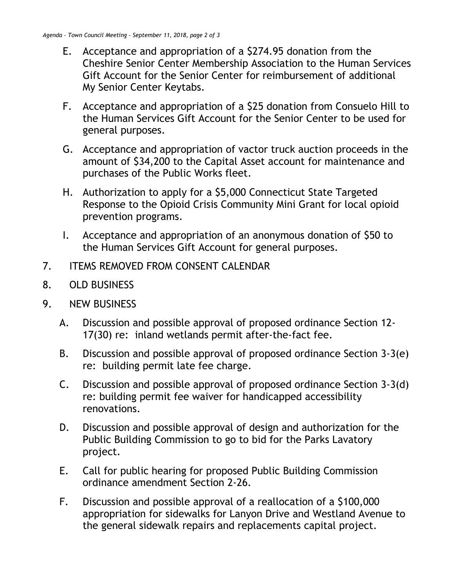- E. Acceptance and appropriation of a \$274.95 donation from the Cheshire Senior Center Membership Association to the Human Services Gift Account for the Senior Center for reimbursement of additional My Senior Center Keytabs.
- F. Acceptance and appropriation of a \$25 donation from Consuelo Hill to the Human Services Gift Account for the Senior Center to be used for general purposes.
- G. Acceptance and appropriation of vactor truck auction proceeds in the amount of \$34,200 to the Capital Asset account for maintenance and purchases of the Public Works fleet.
- H. Authorization to apply for a \$5,000 Connecticut State Targeted Response to the Opioid Crisis Community Mini Grant for local opioid prevention programs.
- I. Acceptance and appropriation of an anonymous donation of \$50 to the Human Services Gift Account for general purposes.
- 7. ITEMS REMOVED FROM CONSENT CALENDAR
- 8. OLD BUSINESS
- 9. NEW BUSINESS
	- A. Discussion and possible approval of proposed ordinance Section 12- 17(30) re: inland wetlands permit after-the-fact fee.
	- B. Discussion and possible approval of proposed ordinance Section 3-3(e) re: building permit late fee charge.
	- C. Discussion and possible approval of proposed ordinance Section 3-3(d) re: building permit fee waiver for handicapped accessibility renovations.
	- D. Discussion and possible approval of design and authorization for the Public Building Commission to go to bid for the Parks Lavatory project.
	- E. Call for public hearing for proposed Public Building Commission ordinance amendment Section 2-26.
	- F. Discussion and possible approval of a reallocation of a \$100,000 appropriation for sidewalks for Lanyon Drive and Westland Avenue to the general sidewalk repairs and replacements capital project.